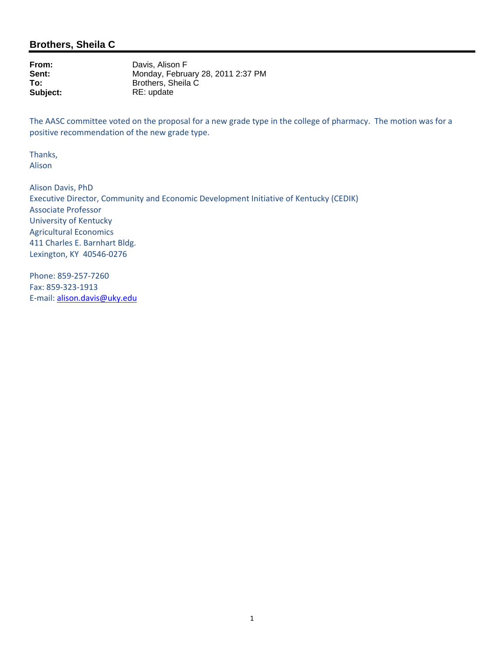# **Brothers, Sheila C**

**From:** Davis, Alison F<br> **Sent:** Mondav. Febru Sent: Monday, February 28, 2011 2:37 PM<br>To: Brothers. Sheila C **To:** Brothers, Sheila C<br> **Subject:** RE: update **Subject:** RE: update

The AASC committee voted on the proposal for a new grade type in the college of pharmacy. The motion was for a positive recommendation of the new grade type.

Thanks, Alison

Alison Davis, PhD Executive Director, Community and Economic Development Initiative of Kentucky (CEDIK) Associate Professor University of Kentucky Agricultural Economics 411 Charles E. Barnhart Bldg. Lexington, KY 40546‐0276

Phone: 859‐257‐7260 Fax: 859‐323‐1913 E‐mail: alison.davis@uky.edu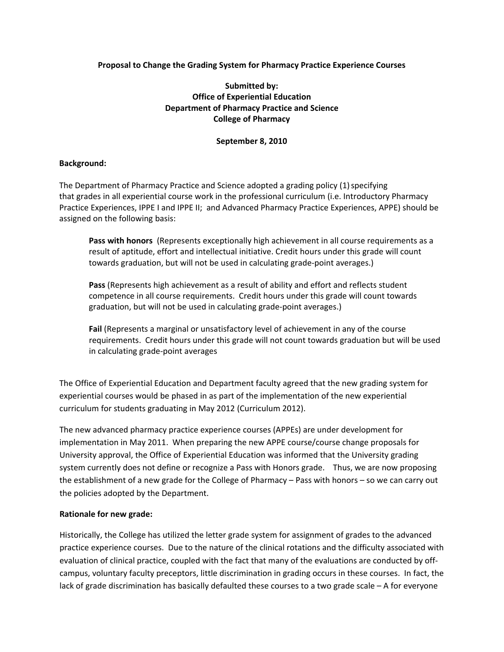#### **Proposal to Change the Grading System for Pharmacy Practice Experience Courses**

## **Submitted by: Office of Experiential Education Department of Pharmacy Practice and Science College of Pharmacy**

#### **September 8, 2010**

#### **Background:**

The Department of Pharmacy Practice and Science adopted a grading policy (1) specifying that grades in all experiential course work in the professional curriculum (i.e. Introductory Pharmacy Practice Experiences, IPPE I and IPPE II; and Advanced Pharmacy Practice Experiences, APPE) should be assigned on the following basis:

**Pass with honors** (Represents exceptionally high achievement in all course requirements as a result of aptitude, effort and intellectual initiative. Credit hours under this grade will count towards graduation, but will not be used in calculating grade‐point averages.)

**Pass** (Represents high achievement as a result of ability and effort and reflects student competence in all course requirements. Credit hours under this grade will count towards graduation, but will not be used in calculating grade‐point averages.)

**Fail** (Represents a marginal or unsatisfactory level of achievement in any of the course requirements. Credit hours under this grade will not count towards graduation but will be used in calculating grade‐point averages

The Office of Experiential Education and Department faculty agreed that the new grading system for experiential courses would be phased in as part of the implementation of the new experiential curriculum for students graduating in May 2012 (Curriculum 2012).

The new advanced pharmacy practice experience courses (APPEs) are under development for implementation in May 2011. When preparing the new APPE course/course change proposals for University approval, the Office of Experiential Education was informed that the University grading system currently does not define or recognize a Pass with Honors grade. Thus, we are now proposing the establishment of a new grade for the College of Pharmacy – Pass with honors – so we can carry out the policies adopted by the Department.

#### **Rationale for new grade:**

Historically, the College has utilized the letter grade system for assignment of grades to the advanced practice experience courses. Due to the nature of the clinical rotations and the difficulty associated with evaluation of clinical practice, coupled with the fact that many of the evaluations are conducted by off‐ campus, voluntary faculty preceptors, little discrimination in grading occurs in these courses. In fact, the lack of grade discrimination has basically defaulted these courses to a two grade scale – A for everyone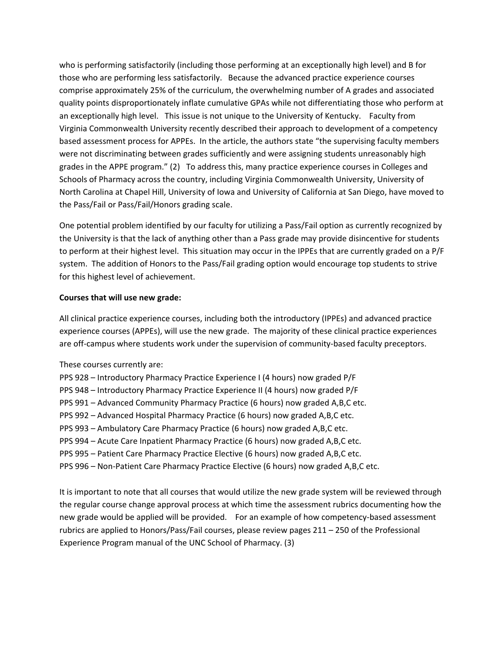who is performing satisfactorily (including those performing at an exceptionally high level) and B for those who are performing less satisfactorily. Because the advanced practice experience courses comprise approximately 25% of the curriculum, the overwhelming number of A grades and associated quality points disproportionately inflate cumulative GPAs while not differentiating those who perform at an exceptionally high level. This issue is not unique to the University of Kentucky. Faculty from Virginia Commonwealth University recently described their approach to development of a competency based assessment process for APPEs. In the article, the authors state "the supervising faculty members were not discriminating between grades sufficiently and were assigning students unreasonably high grades in the APPE program." (2) To address this, many practice experience courses in Colleges and Schools of Pharmacy across the country, including Virginia Commonwealth University, University of North Carolina at Chapel Hill, University of Iowa and University of California at San Diego, have moved to the Pass/Fail or Pass/Fail/Honors grading scale.

One potential problem identified by our faculty for utilizing a Pass/Fail option as currently recognized by the University is that the lack of anything other than a Pass grade may provide disincentive for students to perform at their highest level. This situation may occur in the IPPEs that are currently graded on a P/F system. The addition of Honors to the Pass/Fail grading option would encourage top students to strive for this highest level of achievement.

#### **Courses that will use new grade:**

All clinical practice experience courses, including both the introductory (IPPEs) and advanced practice experience courses (APPEs), will use the new grade. The majority of these clinical practice experiences are off-campus where students work under the supervision of community-based faculty preceptors.

- These courses currently are:
- PPS 928 Introductory Pharmacy Practice Experience I (4 hours) now graded P/F
- PPS 948 Introductory Pharmacy Practice Experience II (4 hours) now graded P/F
- PPS 991 Advanced Community Pharmacy Practice (6 hours) now graded A,B,C etc.
- PPS 992 Advanced Hospital Pharmacy Practice (6 hours) now graded A,B,C etc.
- PPS 993 Ambulatory Care Pharmacy Practice (6 hours) now graded A,B,C etc.
- PPS 994 Acute Care Inpatient Pharmacy Practice (6 hours) now graded A,B,C etc.
- PPS 995 Patient Care Pharmacy Practice Elective (6 hours) now graded A,B,C etc.
- PPS 996 Non‐Patient Care Pharmacy Practice Elective (6 hours) now graded A,B,C etc.

It is important to note that all courses that would utilize the new grade system will be reviewed through the regular course change approval process at which time the assessment rubrics documenting how the new grade would be applied will be provided. For an example of how competency-based assessment rubrics are applied to Honors/Pass/Fail courses, please review pages 211 – 250 of the Professional Experience Program manual of the UNC School of Pharmacy. (3)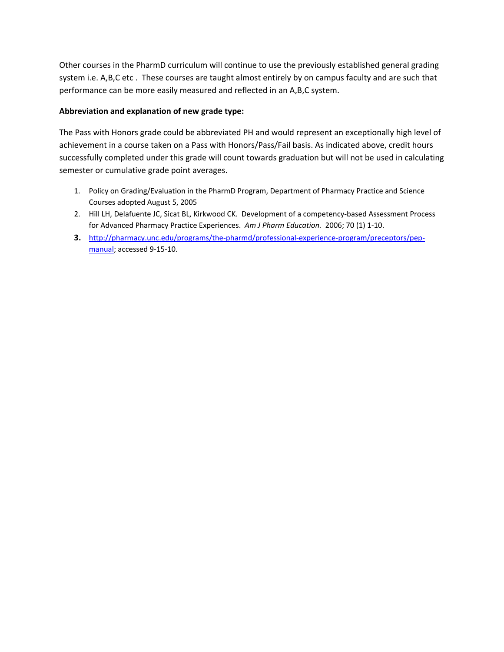Other courses in the PharmD curriculum will continue to use the previously established general grading system i.e. A,B,C etc . These courses are taught almost entirely by on campus faculty and are such that performance can be more easily measured and reflected in an A,B,C system.

### **Abbreviation and explanation of new grade type:**

The Pass with Honors grade could be abbreviated PH and would represent an exceptionally high level of achievement in a course taken on a Pass with Honors/Pass/Fail basis. As indicated above, credit hours successfully completed under this grade will count towards graduation but will not be used in calculating semester or cumulative grade point averages.

- 1. Policy on Grading/Evaluation in the PharmD Program, Department of Pharmacy Practice and Science Courses adopted August 5, 2005
- 2. Hill LH, Delafuente JC, Sicat BL, Kirkwood CK. Development of a competency-based Assessment Process for Advanced Pharmacy Practice Experiences. *Am J Pharm Education.* 2006; 70 (1) 1‐10.
- **3.** [http://pharmacy.unc.edu/programs/the](http://pharmacy.unc.edu/programs/the-pharmd/professional-experience-program/preceptors/pep-manual)‐pharmd/professional‐experience‐program/preceptors/pep‐ [manual](http://pharmacy.unc.edu/programs/the-pharmd/professional-experience-program/preceptors/pep-manual); accessed 9‐15‐10.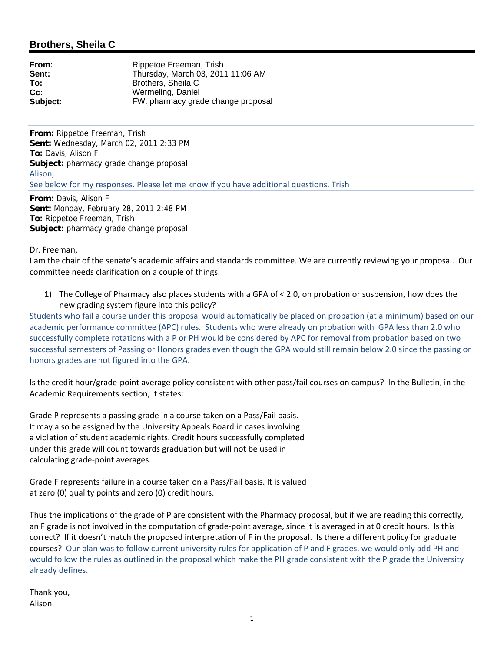# **Brothers, Sheila C**

| From:    | Rippetoe Freeman, Trish            |
|----------|------------------------------------|
| Sent:    | Thursday, March 03, 2011 11:06 AM  |
| To:      | Brothers, Sheila C                 |
| $Cc$ :   | Wermeling, Daniel                  |
| Subject: | FW: pharmacy grade change proposal |

**From:** Rippetoe Freeman, Trish **Sent:** Wednesday, March 02, 2011 2:33 PM **To:** Davis, Alison F **Subject:** pharmacy grade change proposal Alison, See below for my responses. Please let me know if you have additional questions. Trish

**From:** Davis, Alison F **Sent:** Monday, February 28, 2011 2:48 PM **To:** Rippetoe Freeman, Trish **Subject:** pharmacy grade change proposal

Dr. Freeman,

I am the chair of the senate's academic affairs and standards committee. We are currently reviewing your proposal. Our committee needs clarification on a couple of things.

1) The College of Pharmacy also places students with a GPA of < 2.0, on probation or suspension, how does the new grading system figure into this policy?

Students who fail a course under this proposal would automatically be placed on probation (at a minimum) based on our academic performance committee (APC) rules. Students who were already on probation with GPA less than 2.0 who successfully complete rotations with a P or PH would be considered by APC for removal from probation based on two successful semesters of Passing or Honors grades even though the GPA would still remain below 2.0 since the passing or honors grades are not figured into the GPA.

Is the credit hour/grade‐point average policy consistent with other pass/fail courses on campus? In the Bulletin, in the Academic Requirements section, it states:

Grade P represents a passing grade in a course taken on a Pass/Fail basis. It may also be assigned by the University Appeals Board in cases involving a violation of student academic rights. Credit hours successfully completed under this grade will count towards graduation but will not be used in calculating grade‐point averages.

Grade F represents failure in a course taken on a Pass/Fail basis. It is valued at zero (0) quality points and zero (0) credit hours.

Thus the implications of the grade of P are consistent with the Pharmacy proposal, but if we are reading this correctly, an F grade is not involved in the computation of grade‐point average, since it is averaged in at 0 credit hours. Is this correct? If it doesn't match the proposed interpretation of F in the proposal. Is there a different policy for graduate courses? Our plan was to follow current university rules for application of P and F grades, we would only add PH and would follow the rules as outlined in the proposal which make the PH grade consistent with the P grade the University already defines.

Thank you, Alison